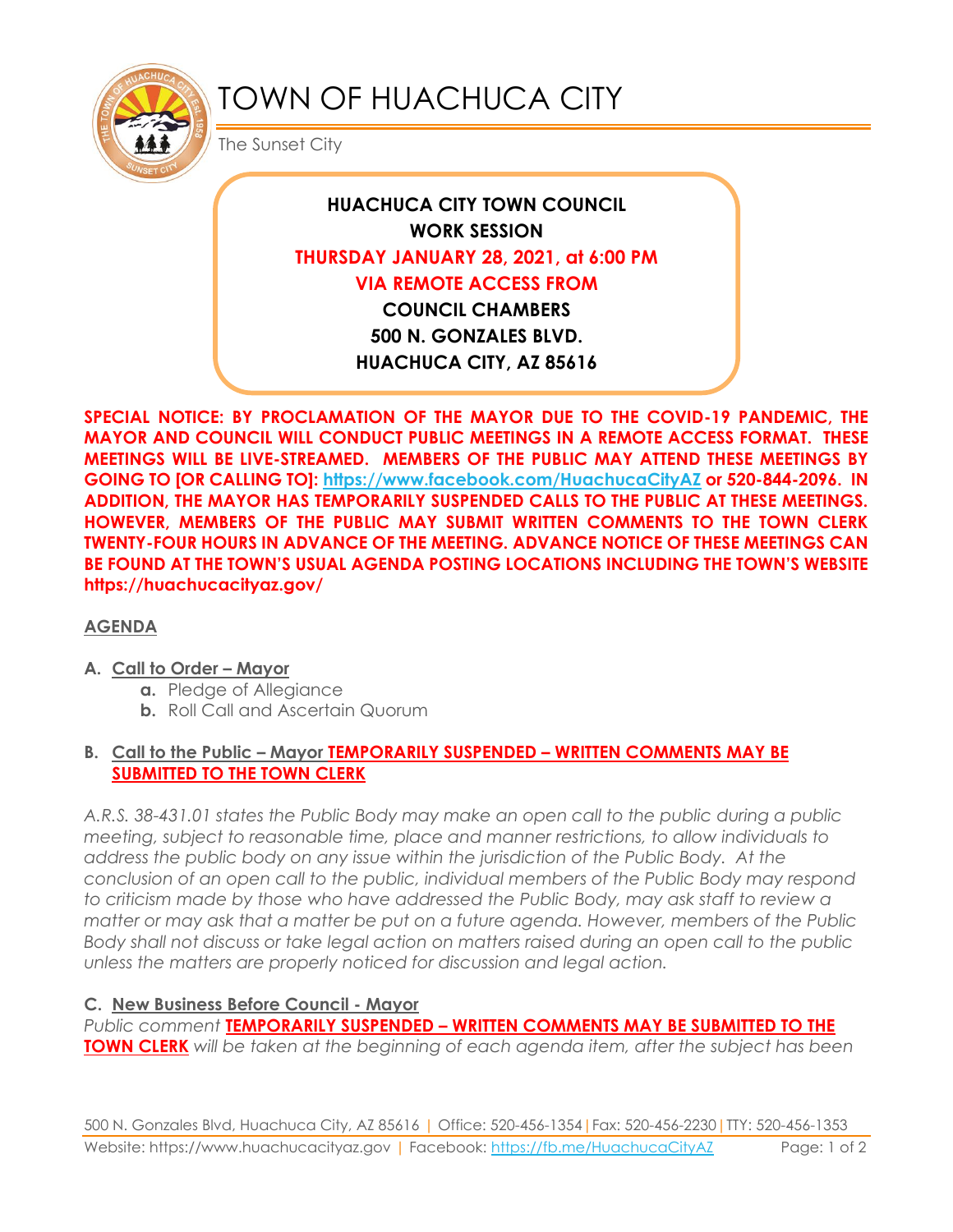

# TOWN OF HUACHUCA CITY

The Sunset City

## **HUACHUCA CITY TOWN COUNCIL WORK SESSION THURSDAY JANUARY 28, 2021, at 6:00 PM VIA REMOTE ACCESS FROM COUNCIL CHAMBERS 500 N. GONZALES BLVD. HUACHUCA CITY, AZ 85616**

**SPECIAL NOTICE: BY PROCLAMATION OF THE MAYOR DUE TO THE COVID-19 PANDEMIC, THE MAYOR AND COUNCIL WILL CONDUCT PUBLIC MEETINGS IN A REMOTE ACCESS FORMAT. THESE MEETINGS WILL BE LIVE-STREAMED. MEMBERS OF THE PUBLIC MAY ATTEND THESE MEETINGS BY GOING TO [OR CALLING TO]: <https://www.facebook.com/HuachucaCityAZ> or 520-844-2096. IN ADDITION, THE MAYOR HAS TEMPORARILY SUSPENDED CALLS TO THE PUBLIC AT THESE MEETINGS. HOWEVER, MEMBERS OF THE PUBLIC MAY SUBMIT WRITTEN COMMENTS TO THE TOWN CLERK TWENTY-FOUR HOURS IN ADVANCE OF THE MEETING. ADVANCE NOTICE OF THESE MEETINGS CAN BE FOUND AT THE TOWN'S USUAL AGENDA POSTING LOCATIONS INCLUDING THE TOWN'S WEBSITE https://huachucacityaz.gov/**

#### **AGENDA**

#### **A. Call to Order – Mayor**

- **a.** Pledge of Allegiance
- **b.** Roll Call and Ascertain Quorum

#### **B. Call to the Public – Mayor TEMPORARILY SUSPENDED – WRITTEN COMMENTS MAY BE SUBMITTED TO THE TOWN CLERK**

*A.R.S. 38-431.01 states the Public Body may make an open call to the public during a public meeting, subject to reasonable time, place and manner restrictions, to allow individuals to address the public body on any issue within the jurisdiction of the Public Body. At the conclusion of an open call to the public, individual members of the Public Body may respond to criticism made by those who have addressed the Public Body, may ask staff to review a matter or may ask that a matter be put on a future agenda. However, members of the Public Body shall not discuss or take legal action on matters raised during an open call to the public unless the matters are properly noticed for discussion and legal action.*

#### **C. New Business Before Council - Mayor**

*Public comment* **TEMPORARILY SUSPENDED – WRITTEN COMMENTS MAY BE SUBMITTED TO THE TOWN CLERK** *will be taken at the beginning of each agenda item, after the subject has been*